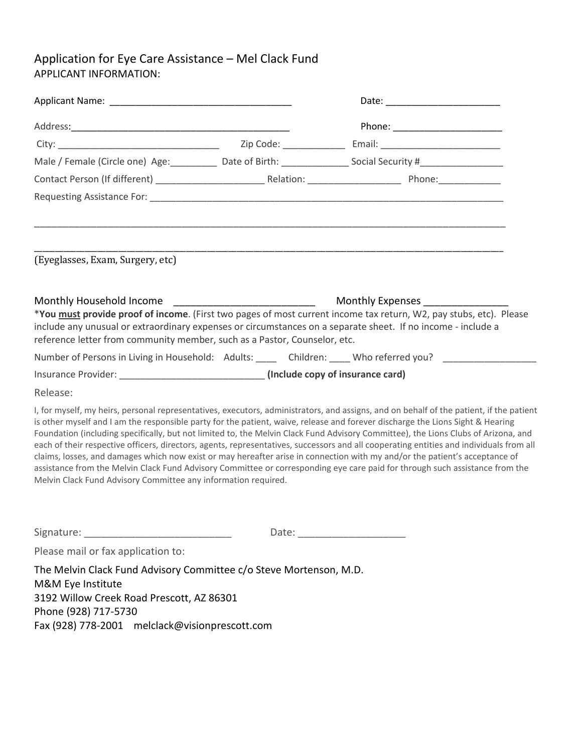## Application for Eye Care Assistance – Mel Clack Fund APPLICANT INFORMATION:

|                                                                                                                                                                                                                |  | Date: _________________________                                                                                                                                                                                                                                                                                                                                                                                                                                                                                                                                                                                                                                                                                                                                                                                           |  |
|----------------------------------------------------------------------------------------------------------------------------------------------------------------------------------------------------------------|--|---------------------------------------------------------------------------------------------------------------------------------------------------------------------------------------------------------------------------------------------------------------------------------------------------------------------------------------------------------------------------------------------------------------------------------------------------------------------------------------------------------------------------------------------------------------------------------------------------------------------------------------------------------------------------------------------------------------------------------------------------------------------------------------------------------------------------|--|
|                                                                                                                                                                                                                |  | Phone: ________________________                                                                                                                                                                                                                                                                                                                                                                                                                                                                                                                                                                                                                                                                                                                                                                                           |  |
|                                                                                                                                                                                                                |  |                                                                                                                                                                                                                                                                                                                                                                                                                                                                                                                                                                                                                                                                                                                                                                                                                           |  |
|                                                                                                                                                                                                                |  | Male / Female (Circle one) Age: __________ Date of Birth: _______________ Social Security #___________________                                                                                                                                                                                                                                                                                                                                                                                                                                                                                                                                                                                                                                                                                                            |  |
|                                                                                                                                                                                                                |  |                                                                                                                                                                                                                                                                                                                                                                                                                                                                                                                                                                                                                                                                                                                                                                                                                           |  |
|                                                                                                                                                                                                                |  |                                                                                                                                                                                                                                                                                                                                                                                                                                                                                                                                                                                                                                                                                                                                                                                                                           |  |
| (Eyeglasses, Exam, Surgery, etc)                                                                                                                                                                               |  |                                                                                                                                                                                                                                                                                                                                                                                                                                                                                                                                                                                                                                                                                                                                                                                                                           |  |
| Monthly Household Income ____________________________<br>reference letter from community member, such as a Pastor, Counselor, etc.                                                                             |  | Monthly Expenses ________________<br>*You must provide proof of income. (First two pages of most current income tax return, W2, pay stubs, etc). Please<br>include any unusual or extraordinary expenses or circumstances on a separate sheet. If no income - include a                                                                                                                                                                                                                                                                                                                                                                                                                                                                                                                                                   |  |
|                                                                                                                                                                                                                |  | Number of Persons in Living in Household: Adults: Cambridgen: Children: Cambridgen Moneferred you? Cambridgen                                                                                                                                                                                                                                                                                                                                                                                                                                                                                                                                                                                                                                                                                                             |  |
|                                                                                                                                                                                                                |  |                                                                                                                                                                                                                                                                                                                                                                                                                                                                                                                                                                                                                                                                                                                                                                                                                           |  |
| Release:                                                                                                                                                                                                       |  |                                                                                                                                                                                                                                                                                                                                                                                                                                                                                                                                                                                                                                                                                                                                                                                                                           |  |
| Melvin Clack Fund Advisory Committee any information required.                                                                                                                                                 |  | I, for myself, my heirs, personal representatives, executors, administrators, and assigns, and on behalf of the patient, if the patient<br>is other myself and I am the responsible party for the patient, waive, release and forever discharge the Lions Sight & Hearing<br>Foundation (including specifically, but not limited to, the Melvin Clack Fund Advisory Committee), the Lions Clubs of Arizona, and<br>each of their respective officers, directors, agents, representatives, successors and all cooperating entities and individuals from all<br>claims, losses, and damages which now exist or may hereafter arise in connection with my and/or the patient's acceptance of<br>assistance from the Melvin Clack Fund Advisory Committee or corresponding eye care paid for through such assistance from the |  |
| Please mail or fax application to:                                                                                                                                                                             |  |                                                                                                                                                                                                                                                                                                                                                                                                                                                                                                                                                                                                                                                                                                                                                                                                                           |  |
| The Melvin Clack Fund Advisory Committee c/o Steve Mortenson, M.D.<br>M&M Eye Institute<br>3192 Willow Creek Road Prescott, AZ 86301<br>Phone (928) 717-5730<br>Fax (928) 778-2001 melclack@visionprescott.com |  |                                                                                                                                                                                                                                                                                                                                                                                                                                                                                                                                                                                                                                                                                                                                                                                                                           |  |